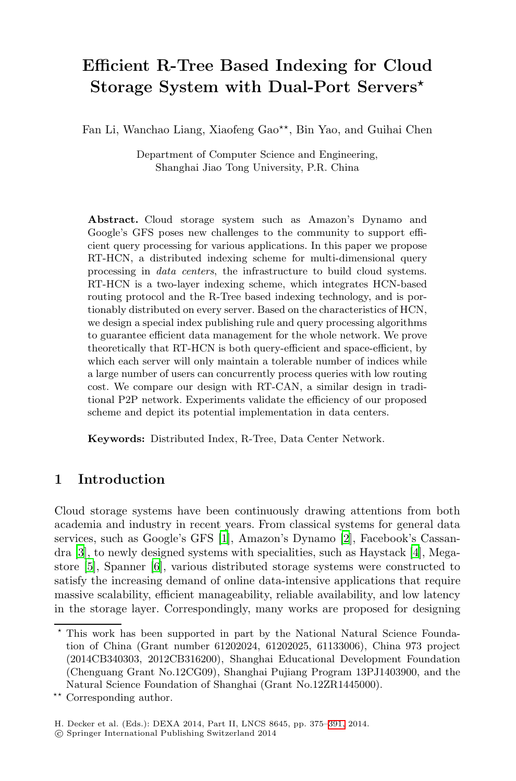# **Efficient R-Tree Based Indexing for Cloud Storage System with Dual-Port Servers***-*

Fan Li, Wanchao Liang, Xiaofeng Gao<sup>\*\*</sup>, Bin Yao, and Guihai Chen

Department of Computer Science and Engineering, Shanghai Jiao Tong University, P.R. China

**Abstract.** Cloud storage system such as Amazon's Dynamo and Google's GFS poses new challenges to the community to support efficient query processing for various applications. In this paper we propose RT-HCN, a distributed indexing scheme for multi-dimensional query processing in *data centers*, the infrastructure to build cloud systems. RT-HCN is a two-layer indexing scheme, which integrates HCN-based routing protocol and the R-Tree based indexing technology, and is portionably distributed on every server. Based on the characteristics of HCN, we design a special index publishing rule and query processing algorithms to guarantee efficient data management for the whole network. We prove theoretically that RT-HCN is both query-efficient and space-efficient, by which each server will only maintain a tolerable number of indices while a large number of users can concurrently process queries with low routing cost. We compare our design with RT-CAN, a similar design in traditional P2P network. Experiments validate the efficiency of our proposed scheme and depict its potential implementation in data centers.

**Keywo[rd](#page-15-0)s:** Distributed Index, R[-T](#page-15-1)ree, Data Ce[nt](#page-15-2)er Network.

## **1 Introduction**

Cloud storage systems have been continuously drawing attentions from both academia and industry in recent years. From classical systems for general data services, such as Google's GFS [1], Amazon's Dynamo [2], Facebook's Cassandra [3], to newly designed systems with specialities, such as Haystack [4], Megastore [5], Spanner [6], various distributed storage systems were constructed to satisfy the increasing demand of online data-intensive applications that require massive scalability, efficient manageability, reliable availability, and low latency in the storage layer. Correspondin[gly,](#page-16-0) many works are proposed for designing

 $\star$  This work has been supported in part by the National Natural Science Foundation of China (Grant number 61202024, 61202025, 61133006), China 973 project (2014CB340303, 2012CB316200), Shanghai Educational Development Foundation (Chenguang Grant No.12CG09), Shanghai Pujiang Program 13PJ1403900, and the Natural Science Foundation of Shanghai (Grant No.12ZR1445000).

<sup>\*\*</sup> Corresponding author.

H. Decker et al. (Eds.): DEXA 2014, Part II, LNCS 8645, pp. 375–391, 2014.

<sup>-</sup>c Springer International Publishing Switzerland 2014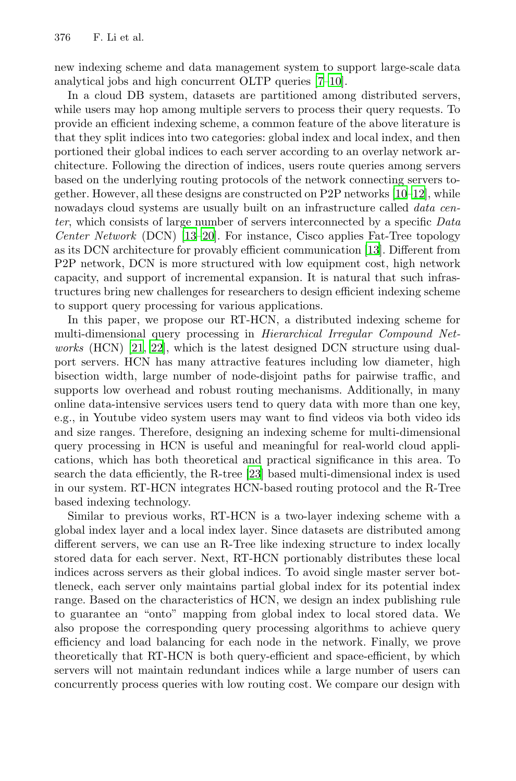new indexing scheme and data management system to support large-scale data analytical jobs and high concurrent OLTP queri[es \[](#page-15-3)[7–1](#page-15-4)0].

In a cloud DB system, datasets are partitioned among distributed servers, while users may hop among multiple servers to process their query requests. To provid[e an](#page-15-5) [effi](#page-15-6)cient indexing scheme, a common feature of the above literature is that they split indices into two categories: g[lob](#page-15-5)al index and local index, and then portioned their global indices to each server according to an overlay network architecture. Following the direction of indices, users route queries among servers based on the underlying routing protocols of the network connecting servers together. However, all these designs are constructed on P2P networks [10–12], while nowadays cloud systems are usually built on an infrastructure called *data center*, which consists of large number of servers interconnected by a specific *Data [Cen](#page-15-7)ter Network* (DCN) [13–20]. For instance, Cisco applies Fat-Tree topology as its DCN architecture for provably efficient communication [13]. Different from P2P network, DCN is more structured with low equipment cost, high network capacity, and support of incremental expansion. It is natural that such infrastructures bring new challenges for researchers to design efficient indexing scheme to support query processing for various applications.

In this paper, we propose our RT-HCN, a distributed indexing scheme for multi-dimensional query processing in *Hierarchical Irregular Compound Networks* (HCN) [21, 22], which is the latest designed DCN structure using dualport servers. HCN [has](#page-15-8) many attractive features including low diameter, high bisection width, large number of node-disjoint paths for pairwise traffic, and supports low overhead and robust routing mechanisms. Additionally, in many online data-intensive services users tend to query data with more than one key, e.g., in Youtube video system users may want to find videos via both video ids and size ranges. Therefore, designing an indexing scheme for multi-dimensional query processing in HCN is useful and meaningful for real-world cloud applications, which has both theoretical and practical significance in this area. To search the data efficiently, the R-tree [23] based multi-dimensional index is used in our system. RT-HCN integrates HCN-based routing protocol and the R-Tree based indexing technology.

Similar to previous works, RT-HCN is a two-layer indexing scheme with a global index layer and a local index layer. Since datasets are distributed among different servers, we can use an R-Tree like indexing structure to index locally stored data for each server. Next, RT-HCN portionably distributes these local indices across servers as their global indices. To avoid single master server bottleneck, each server only maintains partial global index for its potential index range. Based on the characteristics of HCN, we design an index publishing rule to guarantee an "onto" mapping from global index to local stored data. We also propose the corresponding query processing algorithms to achieve query efficiency and load balancing for each node in the network. Finally, we prove theoretically that RT-HCN is both query-efficient and space-efficient, by which servers will not maintain redundant indices while a large number of users can concurrently process queries with low routing cost. We compare our design with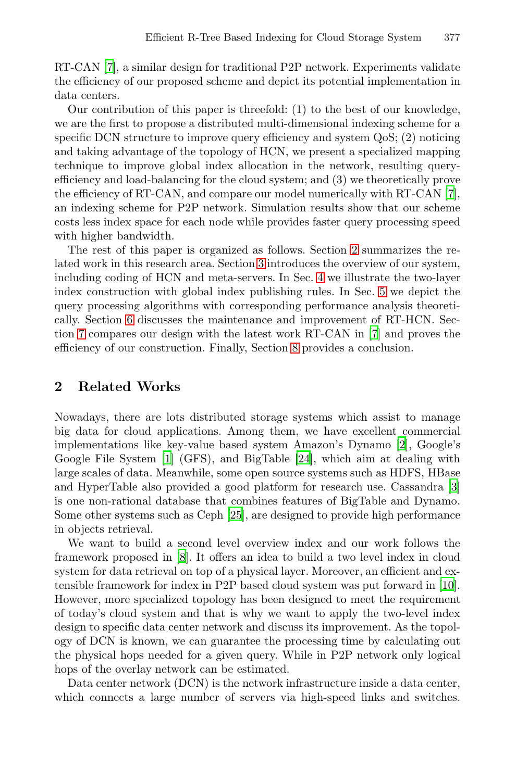RT-CAN [7], a similar design for traditional P2P network. Experiments validate the efficiency of our proposed scheme and depict its potenti[al](#page-15-9) implementation in data centers.

<span id="page-2-0"></span>Our contribution of this paper is threefold: (1) to the best of our knowledge, we are the first to propose a distributed multi-dimensional indexing scheme for a specific DCN structure to improve query [e](#page-2-0)fficiency and system QoS; (2) noticing and taking advantage [of](#page-3-0) the topology of HCN, we present a specialized mapping technique to improve global ind[ex](#page-6-0) allocation in the network, resulting queryefficiency and load-balancing for the cloud sys[tem](#page-9-0); and (3) we theoretically prove the efficiency of RT-CAN, and compare our model numerically with RT-CAN [7], an indexing scheme for P2P network. Simulation results show that our scheme costs less index space for each node while pr[ov](#page-15-9)ides faster query processing speed with higher bandwidth.

The rest of this paper is [or](#page-14-0)ganized as follows. Section 2 summarizes the related work in this research area. Section 3 introduces the overview of our system, including coding of HCN and meta-servers. In Sec. 4 we illustrate the two-layer index construction with global index publishing rules. In Sec. 5 we depict the query processing algorithms with corresponding performance analysis theoretically. Section 6 discusses the maintenance and improvement of RT-HCN. Section 7 compares our design with the latest work [RT](#page-15-1)-CAN in [7] and proves the effi[cie](#page-15-0)ncy of our construction. [Fi](#page-16-1)nally, Section 8 provides a conclusion.

## **2 Related Works**

Nowadays, ther[e](#page-16-2) [a](#page-16-2)re lots distributed storage systems which assist to manage big data for cloud applications. Among them, we have excellent commercial imple[me](#page-15-10)ntations like key-value based system Amazon's Dynamo [2], Google's Google File System [1] (GFS), and BigTable [24], which aim at dealing with large scales of data. Meanwhile, some open source systems [suc](#page-15-3)h as HDFS, HBase and HyperTable also provided a good platform for research use. Cassandra [3] is one non-rational database that combines features of BigTable and Dynamo. Some other systems such as Ceph [25], are designed to provide high performance in objects retrieval.

We want to build a second level overview index and our work follows the framework proposed in [8]. It offers an idea to build a two level index in cloud system for data retrieval on top of a physical layer. Moreover, an efficient and extensible framework for index in P2P based cloud system was put forward in [10]. However, more specialized topology has been designed to meet the requirement of today's cloud system and that is why we want to apply the two-level index design to specific data center network and discuss its improvement. As the topology of DCN is known, we can guarantee the processing time by calculating out the physical hops needed for a given query. While in P2P network only logical hops of the overlay network can be estimated.

Data center network (DCN) is the network infrastructure inside a data center, which connects a large number of servers via high-speed links and switches.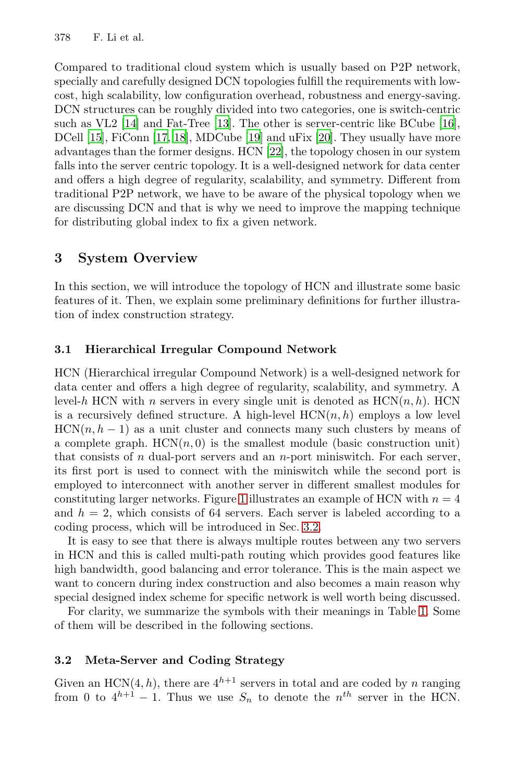<span id="page-3-0"></span>Compared to traditional cloud system which is usually based on P2P network, specially and carefully designed DCN topologies fulfill the requirements with lowcost, high scalability, low configuration overhead, robustness and energy-saving. DCN structures can be roughly divided into two categories, one is switch-centric such as VL2 [14] and Fat-Tree [13]. The other is server-centric like BCube [16], DCell [15], FiConn [17, 18], MDCube [19] and uFix [20]. They usually have more advantages than the former designs. HCN [22], the topology chosen in our system falls into the server centric topology. It is a well-designed network for data center and offers a high degree of regularity, scalability, and symmetry. Different from traditional P2P network, we have to be aware of the physical topology when we are discussing DCN and that is why we need to improve the mapping technique for distributing global index to fix a given network.

## **3 System Overview**

In this section, we will introduce the topology of HCN and illustrate some basic features of it. Then, we explain some preliminary definitions for further illustration of index construction strategy.

### **3.1 Hierarchical Irregular Compound Network**

<span id="page-3-1"></span>HCN (Hierarchical irregular Compound Network) is a well-designed network for data center and o[ffe](#page-4-0)rs a high degree of regularity, scalability, and symmetry. A level-*h* HCN with *n* servers in every single unit is denoted as  $HCN(n, h)$ . HCN is a recursively defined struct[ure.](#page-3-1) A high-level  $HCN(n, h)$  employs a low level  $HCN(n, h - 1)$  as a unit cluster and connects many such clusters by means of a complete graph.  $HCN(n, 0)$  is the smallest module (basic construction unit) that consists of *n* dual-port servers and an *n*-port miniswitch. For each server, its first port is used to connect with the miniswitch while the second port is employed to interconnect with another server in different smallest modules for constituting larger networks. Figure 1 illustrates an e[xam](#page-4-1)ple of HCN with  $n = 4$ and  $h = 2$ , which consists of 64 servers. Each server is labeled according to a coding process, which will be introduced in Sec. 3.2.

It is easy to see that there is always multiple routes between any two servers in HCN and this is called multi-path routing which provides good features like high bandwidth, good balancing and error tolerance. This is the main aspect we want to concern during index construction and also becomes a main reason why special designed index scheme for specific network is well worth being discussed.

For clarity, we summarize the symbols with their meanings in Table 1. Some of them will be described in the following sections.

#### **3.2 Meta-Server and Coding Strategy**

Given an HCN(4, h), there are  $4^{h+1}$  servers in total and are coded by *n* ranging from 0 to  $4^{h+1} - 1$ . Thus we use  $S_n$  to denote the  $n^{th}$  server in the HCN.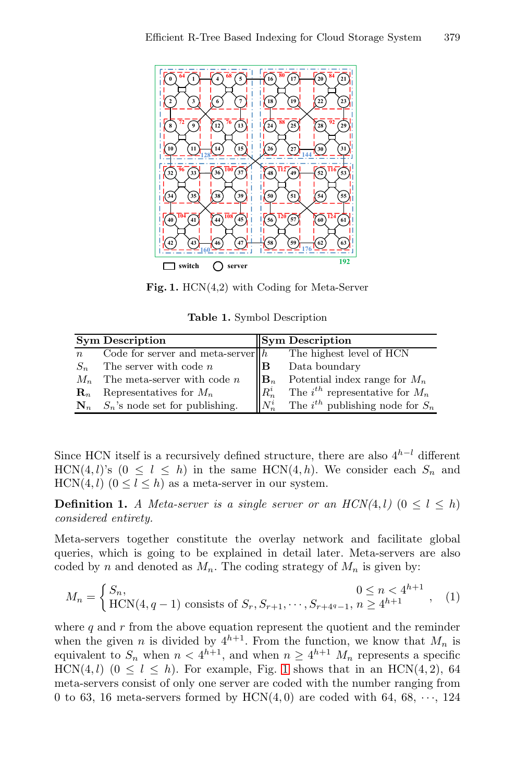<span id="page-4-1"></span><span id="page-4-0"></span>

**Fig. 1.** HCN(4,2) with Coding for Meta-Server

**Table 1.** Symbol Description

|                  | <b>Sym Description</b>                  |                | <b>Sym Description</b>                 |
|------------------|-----------------------------------------|----------------|----------------------------------------|
| $\boldsymbol{n}$ | Code for server and meta-server $ h $   |                | The highest level of HCN               |
| $S_n$            | The server with code $n$                | lВ             | Data boundary                          |
| $M_n$            | The meta-server with code $n$           | $\mathbf{B}_n$ | Potential index range for $M_n$        |
| $\mathbf{R}_n$   | Representatives for $M_n$               | $R_n^i$        | The $i^{th}$ representative for $M_n$  |
|                  | $N_n$ $S_n$ 's node set for publishing. | $N_n^i$        | The $i^{th}$ publishing node for $S_n$ |

Since HCN itself is a recursively defined structure, there are also  $4^{h-l}$  different HCN(4, *l*)'s ( $0 \le l \le h$ ) in the same HCN(4, *h*). We consider each  $S_n$  and  $HCN(4, l)$   $(0 \le l \le h)$  as a meta-server in our system.

**Definition 1.** *A* Meta-server is a single server or an  $HCN(4, l)$   $(0 \le l \le h)$ *considered entirety.*

Meta-servers together constitute the overlay network and facilitate global queries, which is going to be explained in detail later. Meta-servers are also coded by *n* and denoted a[s](#page-4-0)  $M_n$ . The coding strategy of  $M_n$  is given by:

$$
M_n = \begin{cases} S_n, & 0 \le n < 4^{h+1} \\ \text{HCN}(4, q-1) \text{ consists of } S_r, S_{r+1}, \dots, S_{r+4^q-1}, n \ge 4^{h+1} \end{cases}, (1)
$$

where  $q$  and  $r$  from the above equation represent the quotient and the reminder when the given *n* is divided by  $4^{h+1}$ . From the function, we know that  $M_n$  is when the given *n* is divided by  $\frac{1}{2}$ . Then the function, we have that  $\frac{1}{2}$  is equivalent to  $S_n$  when  $n < 4^{h+1}$ , and when  $n \ge 4^{h+1}$   $M_n$  represents a specific HCN(4, l) ( $0 \leq l \leq h$ ). For example, Fig. 1 shows that in an HCN(4, 2), 64 meta-servers consist of only one server are coded with the number ranging from 0 to 63, 16 meta-servers formed by  $HCN(4,0)$  are coded with 64, 68,  $\cdots$ , 124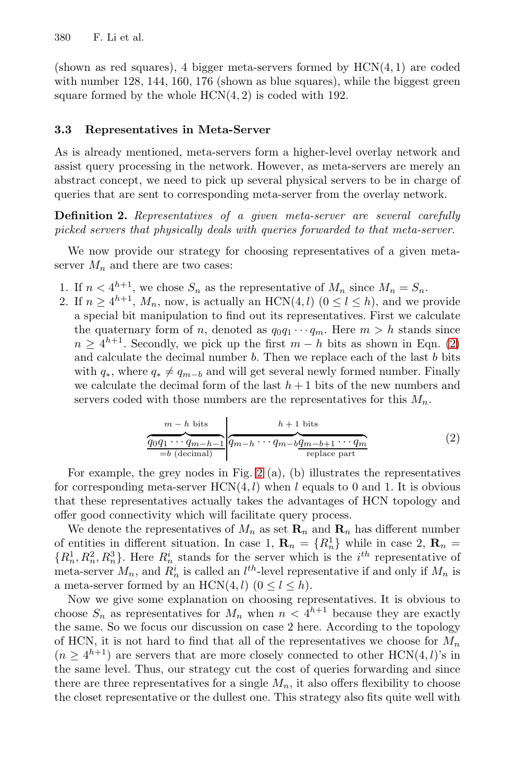(shown as red squares), 4 bigger meta-servers formed by HCN(4*,* 1) are coded with number 128, 144, 160, 176 (shown as blue squares), while the biggest green square formed by the whole HCN(4*,* 2) is coded with 192.

#### **3.3 Representatives in Meta-Server**

As is already mentioned, meta-servers form a higher-level overlay network and assist query processing in the network. However, as meta-servers are merely an abstract concept, we need to pick up several physical servers to be in charge of queries that are sent to corresponding meta-server from the overlay network.

<span id="page-5-0"></span>**Definition 2.** *Representatives of a given meta-server are several carefully picked servers that physically deals with queries forwarded [to](#page-5-0) that meta-server.*

We now provide our strategy for choosing representatives of a given metaserver  $M_n$  and there are two cases:

- 1. If  $n < 4^{h+1}$ , we chose  $S_n$  as the representative of  $M_n$  since  $M_n = S_n$ .<br>2. If  $n > 4^{h+1}$ ,  $M$  pow is actually an HCN(4, l)  $(0 < l < h)$  and we p
- 2. If  $n \geq 4^{h+1}$ ,  $M_n$ , now, is actually an HCN(4*, l*) ( $0 \leq l \leq h$ ), and we provide<br>a special bit manipulation to find out its representatives. First we calculate a special bit manipulation to find out its representatives. First we calculate the quaternary form of *n*, denoted as  $q_0q_1 \cdots q_m$ . Here  $m > h$  stands since  $n \geq 4^{h+1}$ . Secondly, we pick up the first  $m - h$  bits as shown in Eqn. (2) and calculate the decimal number *b*. Then we replace each of the last *b* bits with  $q_*$ , where  $q_* \neq q_{m-b}$  and will get several newly formed number. Finally we calculate the decimal form of the last  $h + 1$  bits of the new numbers and servers coded with those numbers are the representatives for this  $M_n$ .

$$
\underbrace{\overbrace{q_0q_1\cdots q_{m-h-1}}^{m-h \text{ bits}}}_{=b \text{ (decimal)}}\underbrace{\overbrace{q_{m-h}\cdots q_{m-b}}^{h+1 \text{ bits}}}_{=p\text{ place part}}\tag{2}
$$

For example, the grey nodes in Fig. 2 (a), (b) illustrates the representatives for corresponding meta-server  $HCN(4, l)$  when *l* equals to 0 and 1. It is obvious that these representatives actually takes the advantages of HCN topology and offer good connectivity which will facilitate query process.

We denote the representatives of  $M_n$  as set  $\mathbf{R}_n$  and  $\mathbf{R}_n$  has different number<br>entities in different situation. In case 1  $\mathbf{R} = LR^1$  while in case 2  $\mathbf{R} =$ of entities in different situation. In case 1,  $\mathbf{R}_n = \{R_n^1\}$  while in case 2,  $\mathbf{R}_n = \{R^1 \mid R^2 \mid R^2 \mid R^3\}$ . Here  $R^i$  stands for the server which is the *i*<sup>th</sup> representative of  ${R_n^1, R_n^2, R_0^3}$ . Here  $R_n^i$  stands for the server which is the *i*<sup>th</sup> representative of meta-server *M* and  $R^i$  is called an *l<sup>th</sup>*-level representative if and only if *M* is meta-server  $M_n$ , and  $R_n^i$  is called an  $l^{th}$ -level representative if and only if  $M_n$  is<br>a meta-server formed by an  $HCM(A, l)$   $(0 \le l \le h)$ a meta-server formed by an  $HCN(4, l)$   $(0 \le l \le h)$ .

Now we give some explanation on choosing representatives. It is obvious to choose  $S_n$  as representatives for  $M_n$  when  $n < 4^{h+1}$  because they are exactly the same. So we focus our discussion on case 2 here. According to the topology of HCN, it is not hard to find that all of the representatives we choose for  $M_n$  $(n > 4^{h+1})$  are servers that are more closely connected to other HCN(4, *l*)'s in the same level. Thus, our strategy cut the cost of queries forwarding and since there are three representatives for a single  $M_n$ , it also offers flexibility to choose the closet representative or the dullest one. This strategy also fits quite well with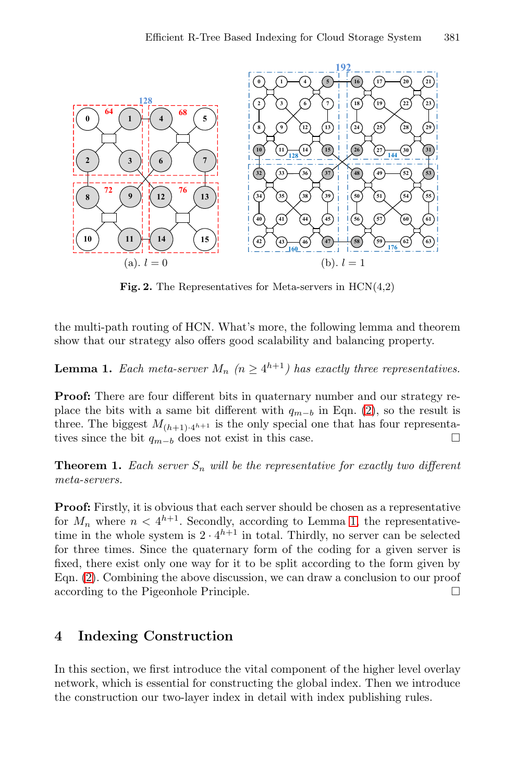<span id="page-6-2"></span><span id="page-6-1"></span>

**Fig. 2.** The Representatives for Meta-servers in HCN(4,2)

the multi-path routing of HCN. What's more, the following lemma and theorem show that our strategy also offers good scalability and balancing property.

**Lemma 1.** *Each meta-server*  $M_n$   $(n \geq 4^{h+1})$  *has exactly three representatives.* 

<span id="page-6-0"></span>**Proof:** There are four different bits in quaternary number and our strategy replace the bits [w](#page-6-2)ith a same bit different with  $q_{m-b}$  in Eqn. (2), so the result is three. The biggest  $M_{(h+1)\cdot 4^{h+1}}$  is the only special one that has four representatives since the bit *<sup>q</sup>*<sup>m</sup>−<sup>b</sup> does not exist in this case. - $\Box$ 

**Theorem 1.** *Each server*  $S_n$  *will be the representative for exactly two different meta-servers.*

**Proof:** Firstly, it is obvious that each server should be chosen as a representative for  $M_n$  where  $n < 4^{h+1}$ . Secondly, according to Lemma 1, the representative-<br>time in the whole system is  $2 \cdot 4^{h+1}$  in total. Thirdly, no server can be selected for three times. Since the quaternary form of the coding for a given server is fixed, there exist only one way for it to be split according to the form given by Eqn. (2). Combining the above discussion, we can draw a conclusion to our proof  $\alpha$  according to the Pigeonhole Principle.  $\Box$ 

## **4 Indexing Construction**

In this section, we first introduce the vital component of the higher level overlay network, which is essential for constructing the global index. Then we introduce the construction our two-layer index in detail with index publishing rules.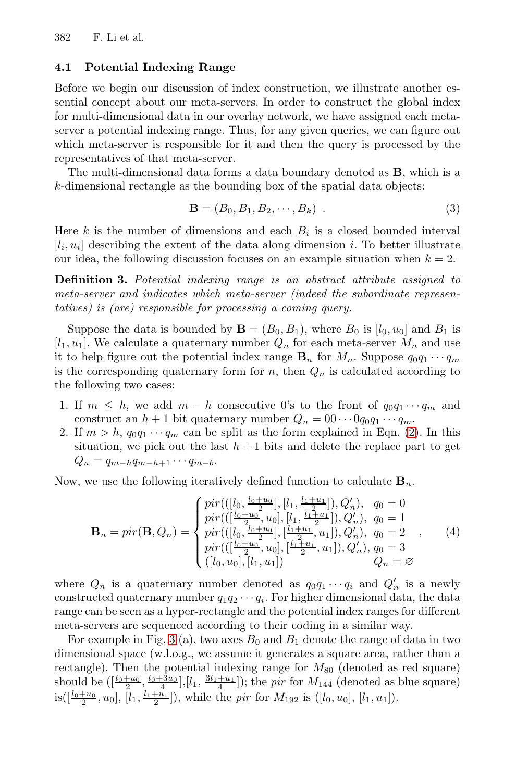#### **4.1 Potential Indexing Range**

Before we begin our discussion of index construction, we illustrate another essential concept about our meta-servers. In order to construct the global index for multi-dimensional data in our overlay network, we have assigned each metaserver a potential indexing range. Thus, for any given queries, we can figure out which meta-server is responsible for it and then the query is processed by the representatives of that meta-server.

The multi-dimensional data forms a data boundary denoted as **B**, which is a *k*-dimensional rectangle as the bounding box of the spatial data objects:

$$
\mathbf{B} = (B_0, B_1, B_2, \cdots, B_k) .
$$
 (3)

Here  $k$  is the number of dimensions and each  $B_i$  is a closed bounded interval  $[i_i, u_i]$  describing the extent of the data along dimension *i*. To better illustrate our idea, the following discussion focuses on an example situation when  $k = 2$ .

**Definition 3.** *Potential indexing range is an abstract attribute assigned to meta-server and indicates which meta-server (indeed the subordinate representatives) is (are) responsible for processing a coming query.*

Suppose the data is bounded by  $\mathbf{B} = (B_0, B_1)$ , [wh](#page-5-0)ere  $B_0$  is  $[l_0, u_0]$  and  $B_1$  is  $[l_1, u_1]$ . We calculate a quaternary number  $Q_n$  for each meta-server  $M_n$  and use it to help figure out the potential index range  $\mathbf{B}_n$  for  $M_n$ . Suppose  $q_0q_1 \cdots q_m$ is the corresponding quaternary form for  $n$ , then  $Q_n$  is calculated according to the following two cases:

- 1. If  $m \leq h$ , we add  $m h$  consecutive 0's to the front of  $q_0q_1 \cdots q_m$  and construct an  $h + 1$  bit quaternary number  $Q_n = 00 \cdots 0q_0q_1 \cdots q_m$ .
- 2. If  $m > h$ ,  $q_0q_1 \cdots q_m$  can be split as the form explained in Eqn. (2). In this situation, we pick out the last  $h + 1$  bits and delete the replace part to get  $Q_n = q_{m-h}q_{m-h+1} \cdots q_{m-b}.$

Now, we use the following iteratively defined function to calculate  $\mathbf{B}_n$ .

$$
\mathbf{B}_n = \text{pir}(\mathbf{B}, Q_n) = \begin{cases} \text{pir}(([l_0, \frac{l_0 + u_0}{2}], [l_1, \frac{l_1 + u_1}{2}]), Q'_n), & q_0 = 0 \\ \text{pir}(([\frac{l_0 + u_0}{2}, u_0], [l_1, \frac{l_1 + u_1}{2}]), Q'_n), & q_0 = 1 \\ \text{pir}(([l_0, \frac{l_0 + u_0}{2}], [\frac{l_1 + u_1}{2}, u_1]), Q'_n), & q_0 = 2 \\ \text{pir}(([\frac{l_0 + u_0}{2}, u_0], [\frac{l_1 + u_1}{2}, u_1]), Q'_n), & q_0 = 3 \\ ([l_0, u_0], [l_1, u_1]) & Q_n = \varnothing \end{cases}, \quad (4)
$$

where  $Q_n$  is a quaternary number denoted as  $q_0q_1 \cdots q_i$  and  $Q'_n$  is a newly<br>constructed quaternary number  $q_1q_2 \cdots q_i$ . For higher dimensional data, the data constructed quaternary number  $q_1q_2 \cdots q_i$ . For higher dimensional data, the data range can be seen as a hyper-rectangle and the potential index ranges for different meta-servers are sequenced according to their coding in a similar way.

For example in Fig. 3 (a), two axes  $B_0$  and  $B_1$  denote the range of data in two dimensional space (w.l.o.g., we assume it generates a square area, rather than a rectangle). Then the potential indexing range for  $M_{80}$  (denoted as red square)<br>should be  $([\frac{l_0+u_0}{2}, \frac{l_0+3u_0}{4}],[l_1, \frac{3l_1+u_1}{4}])$ ; the *pir* for  $M_{144}$  (denoted as blue square)<br>is( $[\frac{l_0+u_0}{2}, u_0], [l_1, \frac{l_1+u$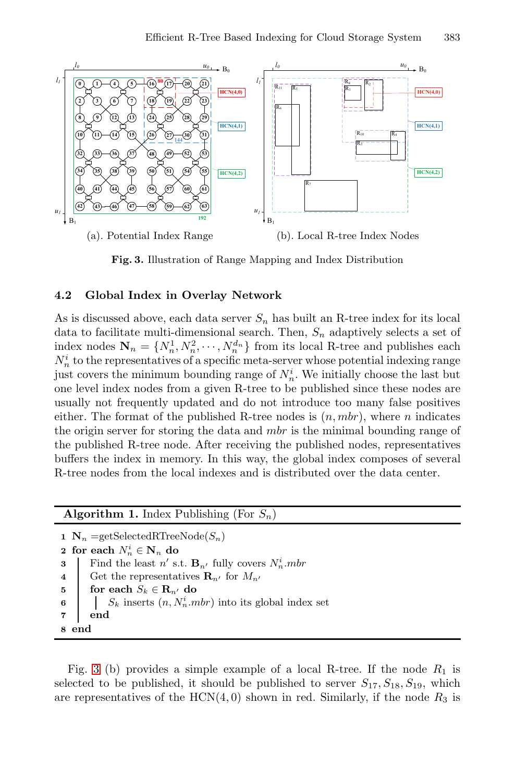

**Fig. 3.** Illustration of Range Mapping and Index Distribution

#### **4.2 Global Index in Overlay Network**

As is discussed above, each data server  $S_n$  has built an R-tree index for its local data to facilitate multi-dimensional search. Then,  $S_n$  adaptively selects a set of index nodes  $\mathbf{N}_n = \{N_n^1, N_n^2, \cdots, N_n^{d_n}\}\$  from its local R-tree and publishes each  $N_i^i$  to the representatives of a specific meta-server whose potential indexing range  $N_n^i$  to the representatives of a specific meta-server whose potential indexing range<br>inst covers the minimum bounding range of  $N^i$ . We initially choose the last but just covers the minimum bounding range of  $N_n^i$ . We initially choose the last but<br>one level index nodes from a given  $R$ -tree to be published since these nodes are one level index nodes from a given R-tree to be published since these nodes are usually not frequently updated and do not introduce too many false positives either. The format of the published R-tree nodes is  $(n, mbr)$ , where  $n$  indicates the origin server for storing the data and *mbr* is the minimal bounding range of the published R-tree node. After receiving the published nodes, representatives buffers the index in memory. In this way, the global index composes of several R-tree nodes from the local indexes and is distributed over the data center.

**Algorithm 1.** Index Publishing (For  $S_n$ )  $N_n$  =getSelectedRTreeNode( $S_n$ ) for each  $N_n^i \in \mathbf{N}_n$  do Find the least *n'* s.t.  $\mathbf{B}_{n'}$  fully covers  $N_n^i$ .*mbr*  Get the representatives  $\mathbf{R}_{n'}$  for  $M_{n'}$  **for each**  $S_k \in \mathbf{R}_{n'}$  do **S**<sub>k</sub> inserts  $(n, N_n^i.mbr)$  into its global index set **7 end 8 end**

Fig. 3 (b) provides a simple example of a local R-tree. If the node  $R_1$  is selected to be published, it should be published to server  $S_{17}, S_{18}, S_{19}$ , which are representatives of the  $HCN(4, 0)$  shown in red. Similarly, if the node  $R_3$  is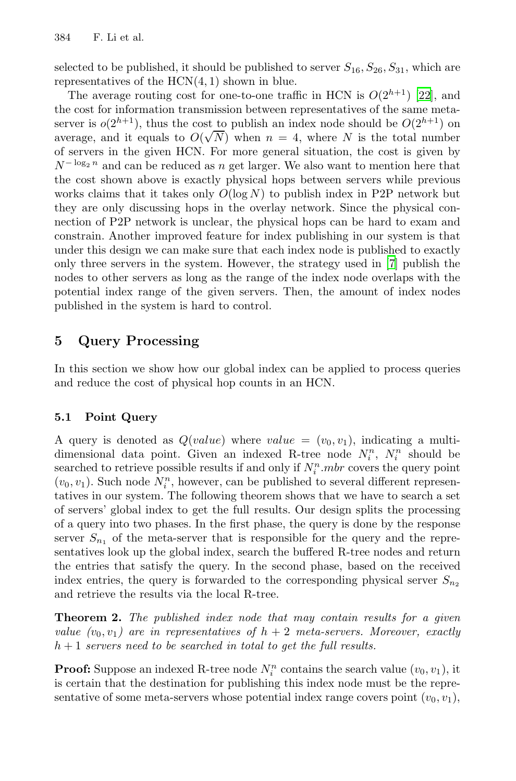selected to be published, it should be published to server  $S_{16}, S_{26}, S_{31}$ , which are representatives of the HCN(4*,* 1) shown in blue.

<span id="page-9-0"></span>The average routing cost for one-to-one traffic in HCN is  $O(2^{h+1})$  [22], and the cost for information transmission between representatives of the same metaserver is  $o(2^{h+1})$ , thus the cost to publish an index node should be  $O(2^{h+1})$  on average, and it equals to  $O(\sqrt{N})$  when  $n = 4$ , where *N* is the total number<br>of servers in the given HCN. For more general situation, the cost is given by of servers in the given HCN. For more genera[l](#page-15-9) situation, the cost is given by  $N^{-\log_2 n}$  and can be reduced as *n* get larger. We also want to mention here that the cost shown above is exactly physical hops between servers while previous works claims that it takes only  $O(\log N)$  to publish index in P2P network but they are only discussing hops in the overlay network. Since the physical connection of P2P network is unclear, the physical hops can be hard to exam and constrain. Another improved feature for index publishing in our system is that under this design we can make sure that each index node is published to exactly only three servers in the system. However, the strategy used in [7] publish the nodes to other servers as long as the range of the index node overlaps with the potential index range of the given servers. Then, the amount of index nodes published in the system is hard to control.

## **5 Query Processing**

In this section we show how our global index can be applied to process queries and reduce the cost of physical hop counts in an HCN.

#### **5.1 Point Query**

A query is denoted as  $Q(value)$  where  $value = (v_0, v_1)$ , indicating a multidimensional data point. Given an indexed R-tree node  $N_i^n$ ,  $N_i^n$  should be<br>searched to retrieve possible results if and only if  $N^n$  mbr covers the query point searched to retrieve possible results if and only if  $N_i^n$  *mbr* covers the query point  $(n_i, n_i)$ . Such node  $N^n$  however, can be published to several different represen- $(v_0, v_1)$ . Such node  $N_i^n$ , however, can be published to several different representatives in our system. The following theorem shows that we have to search a set tatives in our system. The following theorem shows that we have to search a set of servers' global index to get the full results. Our design splits the processing of a query into two phases. In the first phase, the query is done by the response server  $S_{n_1}$  of the meta-server that is responsible for the query and the representatives look up the global index, search the buffered R-tree nodes and return the entries that satisfy the query. In the second phase, based on the received index entries, the query is forwarded to the corresponding physical server  $S_n$ and retrieve the results via the local R-tree.

**Theorem 2.** *The published index node that may contain results for a given value*  $(v_0, v_1)$  are in representatives of  $h + 2$  meta-servers. Moreover, exactly *h* + 1 *servers need to be searched in total to get the full results.*

**Proof:** Suppose an indexed R-tree node  $N_i^n$  contains the search value  $(v_0, v_1)$ , it is certain that the destination for publishing this index node must be the repreis certain that the destination for publishing this index node must be the representative of some meta-servers whose potential index range covers point  $(v_0, v_1)$ ,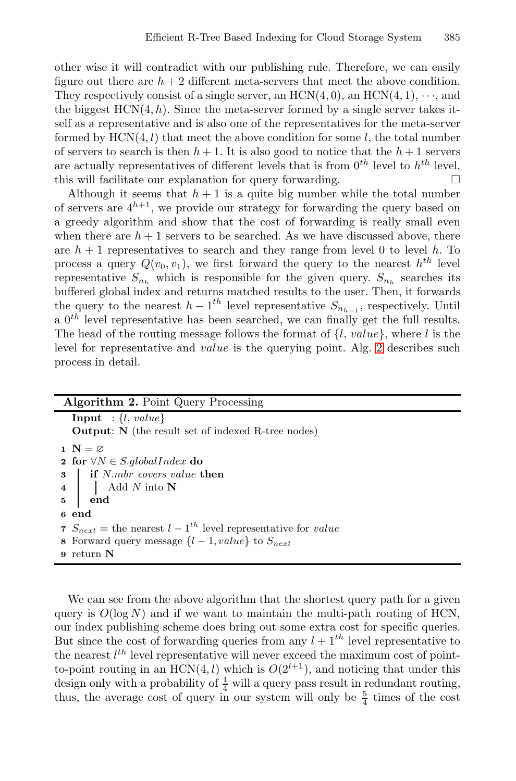other wise it will contradict with our publishing rule. Therefore, we can easily figure out there are  $h + 2$  different meta-servers that meet the above condition. They respectively consist of a single server, an  $HCN(4,0)$ , an  $HCN(4,1)$ ,  $\cdots$ , and the biggest  $HCN(4, h)$ . Since the meta-server formed by a single server takes itself as a representative and is also one of the representatives for the meta-server formed by  $HCN(4, l)$  that meet the above condition for some  $l$ , the total number of servers to search is then  $h+1$ . It is also good to notice that the  $h+1$  servers are actually representatives of different levels that is from  $0^{th}$  level to  $h^{th}$  level, this will facilitate our explanation for query forwarding. this will facilitate our explanation for query forwarding. -

<span id="page-10-0"></span>Although it seems that  $h + 1$  is a quite big number while the total number of servers are  $4^{h+1}$ , we provide our strategy for forwarding the query based on a greedy algorithm and show that the cost of forwarding is really small even when there are  $h + 1$  servers to be searched. [A](#page-10-0)s we have discussed above, there are  $h + 1$  representatives to search and they range from level 0 to level h. To process a query  $Q(v_0, v_1)$ , we first forward the query to the nearest  $h^{th}$  level representative  $S_{n_h}$  which is responsible for the given query.  $S_{n_h}$  searches its buffered global index and returns matched results to the user. Then, it forwards the query to the nearest  $h - 1^{th}$  level representative  $S_{n_{h-1}}$ , respectively. Until a  $0^{th}$  level representative has been searched, we can finally get the full results. The head of the routing message follows the format of {*l*, *value*}, where *l* is the level for representative and *value* is the querying point. Alg. 2 describes such process in detail.

| <b>Algorithm 2.</b> Point Query Processing                                                                                               |  |  |  |  |
|------------------------------------------------------------------------------------------------------------------------------------------|--|--|--|--|
| <b>Input</b> : $\{l, value\}$                                                                                                            |  |  |  |  |
| <b>Output:</b> N (the result set of indexed R-tree nodes)                                                                                |  |  |  |  |
| 1 $N = \emptyset$                                                                                                                        |  |  |  |  |
| 2 for $\forall N \in S$ .globalIndex do                                                                                                  |  |  |  |  |
| 3   if N.mbr covers value then                                                                                                           |  |  |  |  |
| $\begin{array}{c c}\n1 & \text{1 times} & \text{3 times} \\ 4 & \text{1} & \text{Add } N \text{ into } N \\ 5 & \text{end}\n\end{array}$ |  |  |  |  |
|                                                                                                                                          |  |  |  |  |
| 6 end                                                                                                                                    |  |  |  |  |
| 7 $S_{next}$ = the nearest $l-1^{th}$ level representative for value                                                                     |  |  |  |  |
| 8 Forward query message $\{l-1, value\}$ to $S_{next}$                                                                                   |  |  |  |  |
| 9 return $N$                                                                                                                             |  |  |  |  |
|                                                                                                                                          |  |  |  |  |

We can see from the above algorithm that the shortest query path for a given query is  $O(\log N)$  and if we want to maintain the multi-path routing of HCN, our index publishing scheme does bring out some extra cost for specific queries. But since the cost of forwarding queries from any  $l + 1$ <sup>th</sup> level representative to the nearest  $l^{th}$  level representative will never exceed the maximum cost of point-<br>to-point routing in an HCN(4, l) which is  $O(2^{l+1})$  and noticing that under this to-point routing in an  $HCN(4, l)$  which is  $O(2^{l+1})$ , and noticing that under this design only with a probability of  $\frac{1}{4}$  will a query pass result in redundant routing, thus, the average cost of query in our system will only be  $\frac{5}{4}$  times of the cost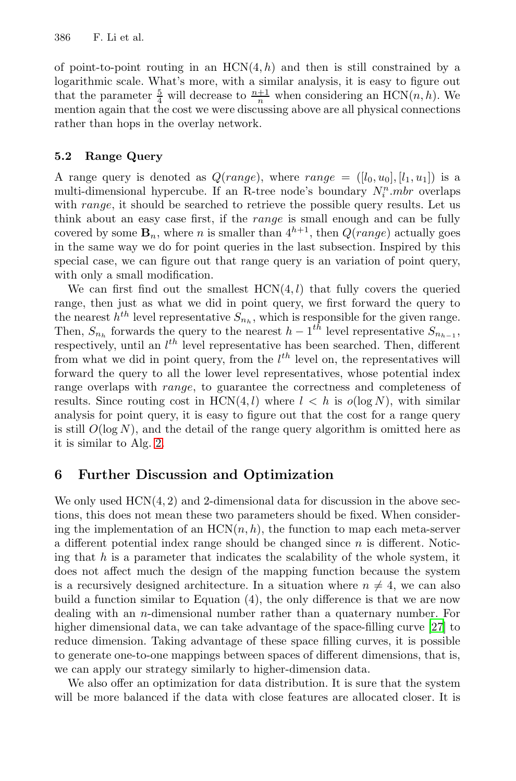of point-to-point routing in an  $HCN(4,h)$  and then is still constrained by a logarithmic scale. What's more, with a similar analysis, it is easy to figure out that the parameter  $\frac{5}{4}$  will decrease to  $\frac{n+1}{n}$  when considering an HCN(*n*, *h*). We mention again that the cost we were discussing above are all physical connections rather than hops in the overlay network.

#### **5.2 Range Query**

A range query is denoted as  $Q(range)$ , where  $range = ([l_0, u_0], [l_1, u_1])$  is a multi-dimensional hypercube. If an R-tree node's boundary  $N_i^n.mbr$  overlaps<br>with *range* it should be searched to retrieve the possible query results. Let us with *range*, it should be searched to retrieve the possible query results. Let us think about an easy case first, if the *range* is small enough and can be fully covered by some  $\mathbf{B}_n$ , where *n* is smaller than  $4^{h+1}$ , then  $Q(range)$  actually goes in the same way we do for point queries in the last subsection. Inspired by this special case, we can figure out that range query is an variation of point query, with only a small modification.

We can first find out the smallest  $HCN(4, l)$  that fully covers the queried range, then just as what we did in point query, we first forward the query to the nearest  $h^{th}$  level representative  $S_{n_h}$ , which is responsible for the given range. T[he](#page-10-0)n,  $S_{n_h}$  forwards the query to the nearest  $h - 1^{th}$  level representative  $S_{n_{h-1}}$ , respectively, until an  $l^{th}$  level representative has been searched. Then, different from what we did in point query from the  $l^{th}$  level on the representatives will from what we did in point query, from the  $l^{th}$  level on, the representatives will<br>forward the query to all the lower level representatives whose potential index forward the query to all the lower level representatives, whose potential index range overlaps with *range*, to guarantee the correctness and completeness of results. Since routing cost in  $HCN(4, l)$  where  $l < h$  is  $o(log N)$ , with similar analysis for point query, it is easy to figure out that the cost for a range query is still  $O(\log N)$ , and the detail of the range query algorithm is omitted here as it is similar to Alg. 2.

## **6 Further Discussion and Optimization**

We only used  $HCN(4, 2)$  and 2-dimensional data for discussion in the above sections, this does not mean these two parameters should [be fi](#page-16-3)xed. When considering the implementation of an  $HCN(n, h)$ , the function to map each meta-server a different potential index range should be changed since *n* is different. Noticing that *h* is a parameter that indicates the scalability of the whole system, it does not affect much the design of the mapping function because the system is a recursively designed architecture. In a situation where  $n \neq 4$ , we can also build a function similar to Equation (4), the only difference is that we are now dealing with an *n*-dimensional number rather than a quaternary number. For higher dimensional data, we can take advantage of the space-filling curve [27] to reduce dimension. Taking advantage of these space filling curves, it is possible to generate one-to-one mappings between spaces of different dimensions, that is, we can apply our strategy similarly to higher-dimension data.

We also offer an optimization for data distribution. It is sure that the system will be more balanced if the data with close features are allocated closer. It is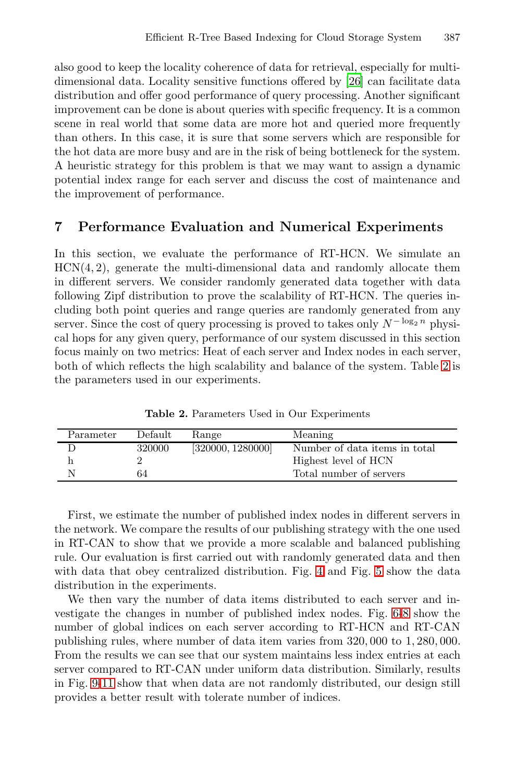also good to keep the locality coherence of data for retrieval, especially for multidimensional data. Locality sensitive functions offered by [26] can facilitate data distribution and offer good performance of query processing. Another significant improvement can be done is about queries with specific frequency. It is a common scene in real world that some data are more hot and queried more frequently than others. In this case, it is sure that some servers which are responsible for the hot data are more busy and are in the risk of being bottleneck for the system. A heuristic strategy for this problem is that we may want to assign a dynamic potential index range for each server and discuss the cost of maintenance and the improvement of performance.

## <span id="page-12-0"></span>**7 Performance Evaluation and Numerical Experiments**

In this section, we evaluate the performance of RT-H[CN](#page-12-0). We simulate an HCN(4*,* 2), generate the multi-dimensional data and randomly allocate them in different servers. We consider randomly generated data together with data following Zipf distribution to prove the scalability of RT-HCN. The queries including both point queries and range queries are randomly generated from any server. Since the cost of query processing is proved to takes only  $N^{-\log_2 n}$  physical hops for any given query, performance of our system discussed in this section focus mainly on two metrics: Heat of each server and Index nodes in each server, both of which reflects the high scalability and balance of the system. Table 2 is the parameters used in our experiments.

**Table 2.** Parameters Used in Our Experiments

| Parameter | Default | Range             | Meaning                       |
|-----------|---------|-------------------|-------------------------------|
|           | 320000  | [320000, 1280000] | Number of data items in total |
|           |         |                   | Highest level of HCN          |
|           | 64      |                   | Total number of servers       |

First, we estimate the number of published in[de](#page-13-2)[x](#page-13-3) nodes in different servers in the network. We compare the results of our publishing strategy with the one used in RT-CAN to show that we provide a more scalable and balanced publishing rule. Our evaluation is first carried out with randomly generated data and then with data that obey centralized distribution. Fig. 4 and Fig. 5 show the data distribution in the experiments.

We then vary the number of data items distributed to each server and investigate the changes in number of published index nodes. Fig. 6-8 show the number of global indices on each server according to RT-HCN and RT-CAN publishing rules, where number of data item varies from 320*,* 000 to 1*,* <sup>280</sup>*,* 000. From the results we can see that our system maintains less index entries at each server compared to RT-CAN under uniform data distribution. Similarly, results in Fig. 9-11 show that when data are not randomly distributed, our design still provides a better result with tolerate number of indices.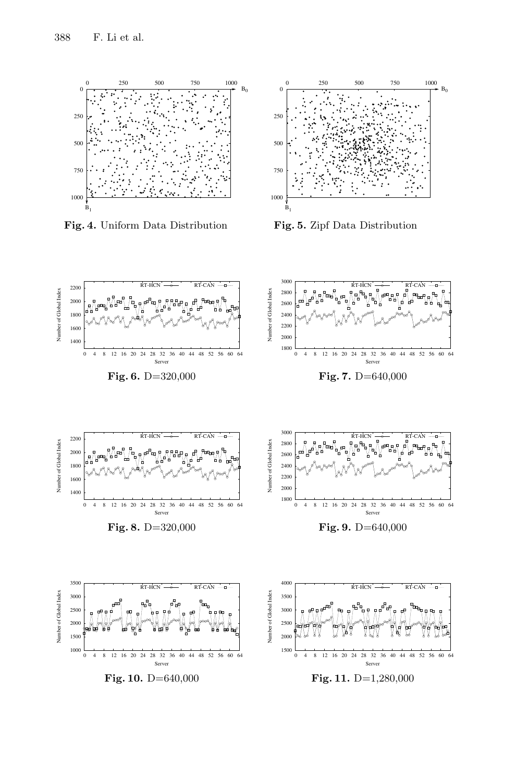

**Fig. 4.** Uniform Data Distribution

<span id="page-13-1"></span><span id="page-13-0"></span>

<span id="page-13-3"></span><span id="page-13-2"></span>**Fig. 5.** Zipf Data Distribution

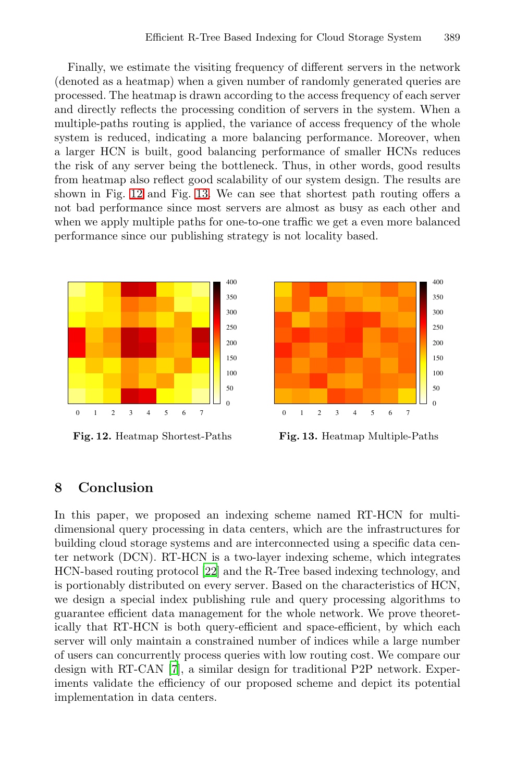Finally, we estimate the visiting frequency of different servers in the network (denoted [as a](#page-14-1) heatmap) when a given number of randomly generated queries are processed. The heatmap is drawn according to the access frequency of each server and directly reflects the processing condition of servers in the system. When a multiple-paths routing is applied, the variance of access frequency of the whole system is reduced, indicating a more balancing performance. Moreover, when a larger HCN is built, good balancing performance of smaller HCNs reduces the risk of any server being the bottleneck. Thus, in other words, good results from heatmap also reflect good scalability of our system design. The results are shown in Fig. 12 and Fig. 13. We can see that shortest path routing offers a not bad performance since most servers are almost as busy as each other and when we apply multiple paths for one-to-one traffic we get a even more balanced performance since our publishing strategy is not locality based.

<span id="page-14-0"></span>

**Fig. 12.** Heatmap Shortest-Paths

<span id="page-14-1"></span>

**Fig. 13.** Heatmap Multiple-Paths

#### **8 Conclusion**

In this paper, we proposed an indexing scheme named RT-HCN for multidimensional query processing in data centers, which are the infrastructures for building cloud storage systems and are interconnected using a specific data center [net](#page-15-9)work (DCN). RT-HCN is a two-layer indexing scheme, which integrates HCN-based routing protocol [22] and the R-Tree based indexing technology, and is portionably distributed on every server. Based on the characteristics of HCN, we design a special index publishing rule and query processing algorithms to guarantee efficient data management for the whole network. We prove theoretically that RT-HCN is both query-efficient and space-efficient, by which each server will only maintain a constrained number of indices while a large number of users can concurrently process queries with low routing cost. We compare our design with RT-CAN [7], a similar design for traditional P2P network. Experiments validate the efficiency of our proposed scheme and depict its potential implementation in data centers.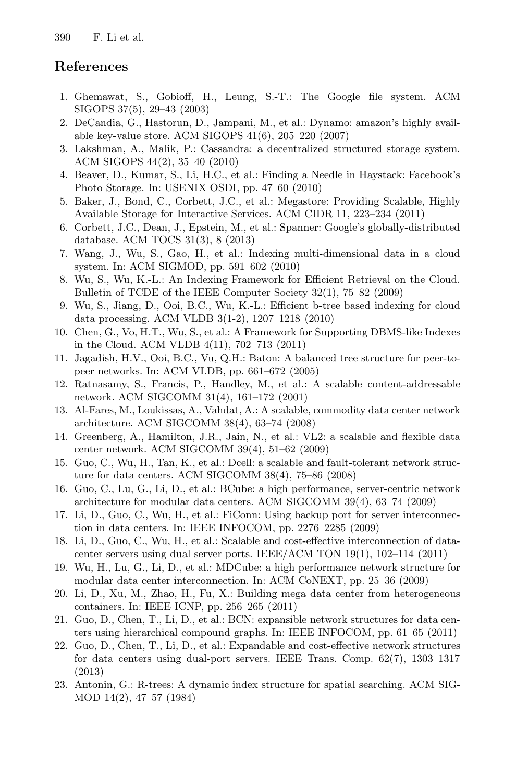# <span id="page-15-1"></span><span id="page-15-0"></span>**References**

- <span id="page-15-2"></span>1. Ghemawat, S., Gobioff, H., Leung, S.-T.: The Google file system. ACM SIGOPS 37(5), 29–43 (2003)
- 2. DeCandia, G., Hastorun, D., Jampani, M., et al.: Dynamo: amazon's highly available key-value store. ACM SIGOPS 41(6), 205–220 (2007)
- <span id="page-15-9"></span>3. Lakshman, A., Malik, P.: Cassandra: a decentralized structured storage system. ACM SIGOPS 44(2), 35–40 (2010)
- <span id="page-15-10"></span>4. Beaver, D., Kumar, S., Li, H.C., et al.: Finding a Needle in Haystack: Facebook's Photo Storage. In: USENIX OSDI, pp. 47–60 (2010)
- 5. Baker, J., Bond, C., Corbett, J.C., et al.: Megastore: Providing Scalable, Highly Available Storage for Interactive Services. ACM CIDR 11, 223–234 (2011)
- <span id="page-15-3"></span>6. Corbett, J.C., Dean, J., Epstein, M., et al.: Spanner: Google's globally-distributed database. ACM TOCS 31(3), 8 (2013)
- 7. Wang, J., Wu, S., Gao, H., et al.: Indexing multi-dimensional data in a cloud system. In: ACM SIGMOD, pp. 591–602 (2010)
- <span id="page-15-4"></span>8. Wu, S., Wu, K.-L.: An Indexing Framework for Efficient Retrieval on the Cloud. Bulletin of TCDE of the IEEE Computer Society 32(1), 75–82 (2009)
- <span id="page-15-5"></span>9. Wu, S., Jiang, D., Ooi, B.C., Wu, K.-L.: Efficient b-tree based indexing for cloud data processing. ACM VLDB 3(1-2), 1207–1218 (2010)
- 10. Chen, G., Vo, H.T., Wu, S., et al.: A Framework for Supporting DBMS-like Indexes in the Cloud. ACM VLDB 4(11), 702–713 (2011)
- 11. Jagadish, H.V., Ooi, B.C., Vu, Q.H.: Baton: A balanced tree structure for peer-topeer networks. In: ACM VLDB, pp. 661–672 (2005)
- 12. Ratnasamy, S., Francis, P., Handley, M., et al.: A scalable content-addressable network. ACM SIGCOMM 31(4), 161–172 (2001)
- <span id="page-15-11"></span>13. Al-Fares, M., Loukissas, A., Vahdat, A.: A scalable, commodity data center network architecture. ACM SIGCOMM 38(4), 63–74 (2008)
- <span id="page-15-12"></span>14. Greenberg, A., Hamilton, J.R., Jain, N., et al.: VL2: a scalable and flexible data center network. ACM SIGCOMM 39(4), 51–62 (2009)
- 15. Guo, C., Wu, H., Tan, K., et al.: Dcell: a scalable and fault-tolerant network structure for data centers. ACM SIGCOMM 38(4), 75–86 (2008)
- <span id="page-15-6"></span>16. Guo, C., Lu, G., Li, D., et al.: BCube: a high performance, server-centric network architecture for modular data centers. ACM SIGCOMM 39(4), 63–74 (2009)
- 17. Li, D., Guo, C., Wu, H., et al.: FiConn: Using backup port for server interconnection in data centers. In: IEEE INFOCOM, pp. 2276–2285 (2009)
- <span id="page-15-7"></span>18. Li, D., Guo, C., Wu, H., et al.: Scalable and cost-effective interconnection of datacenter servers using dual server ports. IEEE/ACM TON 19(1), 102–114 (2011)
- 19. Wu, H., Lu, G., Li, D., et al.: MDCube: a high performance network structure for modular data center interconnection. In: ACM CoNEXT, pp. 25–36 (2009)
- <span id="page-15-8"></span>20. Li, D., Xu, M., Zhao, H., Fu, X.: Building mega data center from heterogeneous containers. In: IEEE ICNP, pp. 256–265 (2011)
- 21. Guo, D., Chen, T., Li, D., et al.: BCN: expansible network structures for data centers using hierarchical compound graphs. In: IEEE INFOCOM, pp. 61–65 (2011)
- 22. Guo, D., Chen, T., Li, D., et al.: Expandable and cost-effective network structures for data centers using dual-port servers. IEEE Trans. Comp. 62(7), 1303–1317 (2013)
- 23. Antonin, G.: R-trees: A dynamic index structure for spatial searching. ACM SIG-MOD 14(2), 47–57 (1984)